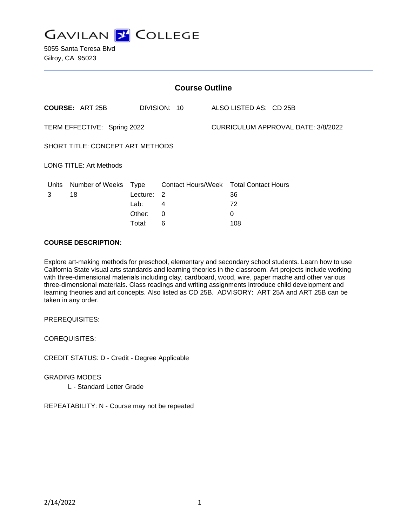

| <b>Course Outline</b>            |                        |             |                |                                           |                                        |
|----------------------------------|------------------------|-------------|----------------|-------------------------------------------|----------------------------------------|
|                                  | <b>COURSE: ART 25B</b> |             | DIVISION: 10   |                                           | ALSO LISTED AS: CD 25B                 |
| TERM EFFECTIVE: Spring 2022      |                        |             |                | <b>CURRICULUM APPROVAL DATE: 3/8/2022</b> |                                        |
| SHORT TITLE: CONCEPT ART METHODS |                        |             |                |                                           |                                        |
| <b>LONG TITLE: Art Methods</b>   |                        |             |                |                                           |                                        |
| Units                            | Number of Weeks        | <b>Type</b> |                |                                           | Contact Hours/Week Total Contact Hours |
| 3                                | 18                     | Lecture:    | $\overline{2}$ |                                           | 36                                     |
|                                  |                        | Lab:        | 4              |                                           | 72                                     |
|                                  |                        | Other:      | $\Omega$       |                                           | 0                                      |
|                                  |                        | Total:      | 6              |                                           | 108                                    |

## **COURSE DESCRIPTION:**

Explore art-making methods for preschool, elementary and secondary school students. Learn how to use California State visual arts standards and learning theories in the classroom. Art projects include working with three-dimensional materials including clay, cardboard, wood, wire, paper mache and other various three-dimensional materials. Class readings and writing assignments introduce child development and learning theories and art concepts. Also listed as CD 25B. ADVISORY: ART 25A and ART 25B can be taken in any order.

PREREQUISITES:

COREQUISITES:

CREDIT STATUS: D - Credit - Degree Applicable

GRADING MODES

L - Standard Letter Grade

REPEATABILITY: N - Course may not be repeated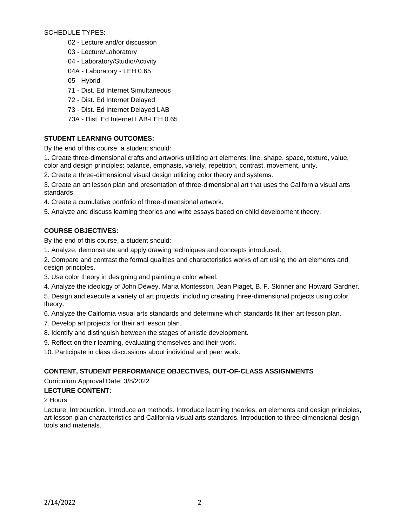SCHEDULE TYPES:

- 02 Lecture and/or discussion
- 03 Lecture/Laboratory
- 04 Laboratory/Studio/Activity
- 04A Laboratory LEH 0.65
- 05 Hybrid
- 71 Dist. Ed Internet Simultaneous
- 72 Dist. Ed Internet Delayed
- 73 Dist. Ed Internet Delayed LAB
- 73A Dist. Ed Internet LAB-LEH 0.65

# **STUDENT LEARNING OUTCOMES:**

By the end of this course, a student should:

1. Create three-dimensional crafts and artworks utilizing art elements: line, shape, space, texture, value, color and design principles: balance, emphasis, variety, repetition, contrast, movement, unity.

2. Create a three-dimensional visual design utilizing color theory and systems.

3. Create an art lesson plan and presentation of three-dimensional art that uses the California visual arts standards.

- 4. Create a cumulative portfolio of three-dimensional artwork.
- 5. Analyze and discuss learning theories and write essays based on child development theory.

# **COURSE OBJECTIVES:**

By the end of this course, a student should:

1. Analyze, demonstrate and apply drawing techniques and concepts introduced.

2. Compare and contrast the formal qualities and characteristics works of art using the art elements and design principles.

- 3. Use color theory in designing and painting a color wheel.
- 4. Analyze the ideology of John Dewey, Maria Montessori, Jean Piaget, B. F. Skinner and Howard Gardner.
- 5. Design and execute a variety of art projects, including creating three-dimensional projects using color theory.

6. Analyze the California visual arts standards and determine which standards fit their art lesson plan.

- 7. Develop art projects for their art lesson plan.
- 8. Identify and distinguish between the stages of artistic development.
- 9. Reflect on their learning, evaluating themselves and their work.
- 10. Participate in class discussions about individual and peer work.

# **CONTENT, STUDENT PERFORMANCE OBJECTIVES, OUT-OF-CLASS ASSIGNMENTS**

Curriculum Approval Date: 3/8/2022

# **LECTURE CONTENT:**

2 Hours

Lecture: Introduction. Introduce art methods. Introduce learning theories, art elements and design principles, art lesson plan characteristics and California visual arts standards. Introduction to three-dimensional design tools and materials.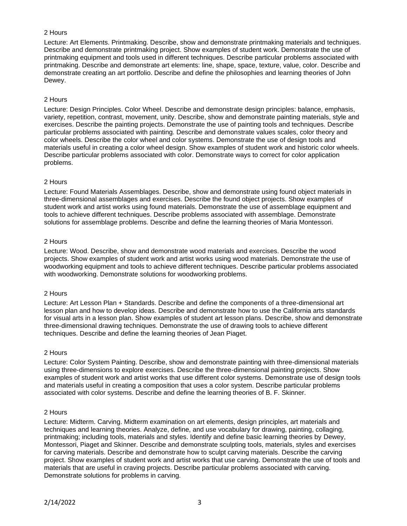Lecture: Art Elements. Printmaking. Describe, show and demonstrate printmaking materials and techniques. Describe and demonstrate printmaking project. Show examples of student work. Demonstrate the use of printmaking equipment and tools used in different techniques. Describe particular problems associated with printmaking. Describe and demonstrate art elements: line, shape, space, texture, value, color. Describe and demonstrate creating an art portfolio. Describe and define the philosophies and learning theories of John Dewey.

#### 2 Hours

Lecture: Design Principles. Color Wheel. Describe and demonstrate design principles: balance, emphasis, variety, repetition, contrast, movement, unity. Describe, show and demonstrate painting materials, style and exercises. Describe the painting projects. Demonstrate the use of painting tools and techniques. Describe particular problems associated with painting. Describe and demonstrate values scales, color theory and color wheels. Describe the color wheel and color systems. Demonstrate the use of design tools and materials useful in creating a color wheel design. Show examples of student work and historic color wheels. Describe particular problems associated with color. Demonstrate ways to correct for color application problems.

## 2 Hours

Lecture: Found Materials Assemblages. Describe, show and demonstrate using found object materials in three-dimensional assemblages and exercises. Describe the found object projects. Show examples of student work and artist works using found materials. Demonstrate the use of assemblage equipment and tools to achieve different techniques. Describe problems associated with assemblage. Demonstrate solutions for assemblage problems. Describe and define the learning theories of Maria Montessori.

## 2 Hours

Lecture: Wood. Describe, show and demonstrate wood materials and exercises. Describe the wood projects. Show examples of student work and artist works using wood materials. Demonstrate the use of woodworking equipment and tools to achieve different techniques. Describe particular problems associated with woodworking. Demonstrate solutions for woodworking problems.

#### 2 Hours

Lecture: Art Lesson Plan + Standards. Describe and define the components of a three-dimensional art lesson plan and how to develop ideas. Describe and demonstrate how to use the California arts standards for visual arts in a lesson plan. Show examples of student art lesson plans. Describe, show and demonstrate three-dimensional drawing techniques. Demonstrate the use of drawing tools to achieve different techniques. Describe and define the learning theories of Jean Piaget.

#### 2 Hours

Lecture: Color System Painting. Describe, show and demonstrate painting with three-dimensional materials using three-dimensions to explore exercises. Describe the three-dimensional painting projects. Show examples of student work and artist works that use different color systems. Demonstrate use of design tools and materials useful in creating a composition that uses a color system. Describe particular problems associated with color systems. Describe and define the learning theories of B. F. Skinner.

#### 2 Hours

Lecture: Midterm. Carving. Midterm examination on art elements, design principles, art materials and techniques and learning theories. Analyze, define, and use vocabulary for drawing, painting, collaging, printmaking; including tools, materials and styles. Identify and define basic learning theories by Dewey, Montessori, Piaget and Skinner. Describe and demonstrate sculpting tools, materials, styles and exercises for carving materials. Describe and demonstrate how to sculpt carving materials. Describe the carving project. Show examples of student work and artist works that use carving. Demonstrate the use of tools and materials that are useful in craving projects. Describe particular problems associated with carving. Demonstrate solutions for problems in carving.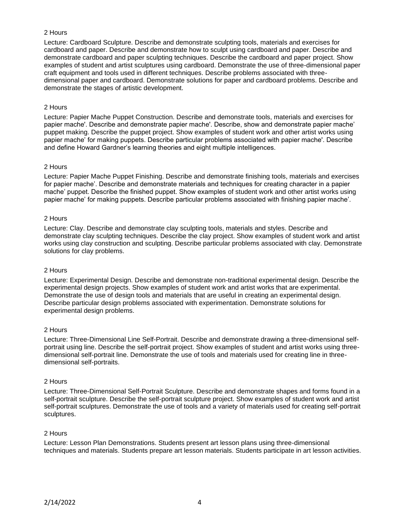Lecture: Cardboard Sculpture. Describe and demonstrate sculpting tools, materials and exercises for cardboard and paper. Describe and demonstrate how to sculpt using cardboard and paper. Describe and demonstrate cardboard and paper sculpting techniques. Describe the cardboard and paper project. Show examples of student and artist sculptures using cardboard. Demonstrate the use of three-dimensional paper craft equipment and tools used in different techniques. Describe problems associated with threedimensional paper and cardboard. Demonstrate solutions for paper and cardboard problems. Describe and demonstrate the stages of artistic development.

#### 2 Hours

Lecture: Papier Mache Puppet Construction. Describe and demonstrate tools, materials and exercises for papier mache'. Describe and demonstrate papier mache'. Describe, show and demonstrate papier mache' puppet making. Describe the puppet project. Show examples of student work and other artist works using papier mache' for making puppets. Describe particular problems associated with papier mache'. Describe and define Howard Gardner's learning theories and eight multiple intelligences.

#### 2 Hours

Lecture: Papier Mache Puppet Finishing. Describe and demonstrate finishing tools, materials and exercises for papier mache'. Describe and demonstrate materials and techniques for creating character in a papier mache' puppet. Describe the finished puppet. Show examples of student work and other artist works using papier mache' for making puppets. Describe particular problems associated with finishing papier mache'.

#### 2 Hours

Lecture: Clay. Describe and demonstrate clay sculpting tools, materials and styles. Describe and demonstrate clay sculpting techniques. Describe the clay project. Show examples of student work and artist works using clay construction and sculpting. Describe particular problems associated with clay. Demonstrate solutions for clay problems.

#### 2 Hours

Lecture: Experimental Design. Describe and demonstrate non-traditional experimental design. Describe the experimental design projects. Show examples of student work and artist works that are experimental. Demonstrate the use of design tools and materials that are useful in creating an experimental design. Describe particular design problems associated with experimentation. Demonstrate solutions for experimental design problems.

#### 2 Hours

Lecture: Three-Dimensional Line Self-Portrait. Describe and demonstrate drawing a three-dimensional selfportrait using line. Describe the self-portrait project. Show examples of student and artist works using threedimensional self-portrait line. Demonstrate the use of tools and materials used for creating line in threedimensional self-portraits.

#### 2 Hours

Lecture: Three-Dimensional Self-Portrait Sculpture. Describe and demonstrate shapes and forms found in a self-portrait sculpture. Describe the self-portrait sculpture project. Show examples of student work and artist self-portrait sculptures. Demonstrate the use of tools and a variety of materials used for creating self-portrait sculptures.

# 2 Hours

Lecture: Lesson Plan Demonstrations. Students present art lesson plans using three-dimensional techniques and materials. Students prepare art lesson materials. Students participate in art lesson activities.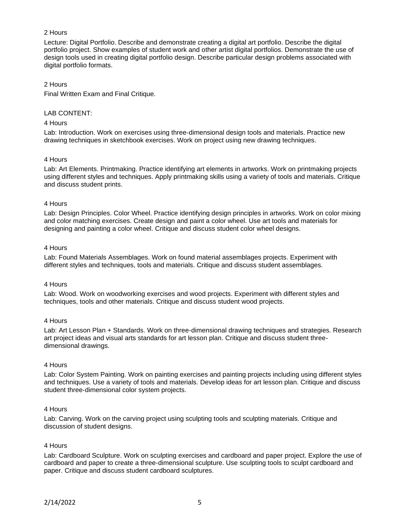Lecture: Digital Portfolio. Describe and demonstrate creating a digital art portfolio. Describe the digital portfolio project. Show examples of student work and other artist digital portfolios. Demonstrate the use of design tools used in creating digital portfolio design. Describe particular design problems associated with digital portfolio formats.

#### 2 Hours

Final Written Exam and Final Critique.

## LAB CONTENT:

#### 4 Hours

Lab: Introduction. Work on exercises using three-dimensional design tools and materials. Practice new drawing techniques in sketchbook exercises. Work on project using new drawing techniques.

#### 4 Hours

Lab: Art Elements. Printmaking. Practice identifying art elements in artworks. Work on printmaking projects using different styles and techniques. Apply printmaking skills using a variety of tools and materials. Critique and discuss student prints.

#### 4 Hours

Lab: Design Principles. Color Wheel. Practice identifying design principles in artworks. Work on color mixing and color matching exercises. Create design and paint a color wheel. Use art tools and materials for designing and painting a color wheel. Critique and discuss student color wheel designs.

#### 4 Hours

Lab: Found Materials Assemblages. Work on found material assemblages projects. Experiment with different styles and techniques, tools and materials. Critique and discuss student assemblages.

#### 4 Hours

Lab: Wood. Work on woodworking exercises and wood projects. Experiment with different styles and techniques, tools and other materials. Critique and discuss student wood projects.

#### 4 Hours

Lab: Art Lesson Plan + Standards. Work on three-dimensional drawing techniques and strategies. Research art project ideas and visual arts standards for art lesson plan. Critique and discuss student threedimensional drawings.

#### 4 Hours

Lab: Color System Painting. Work on painting exercises and painting projects including using different styles and techniques. Use a variety of tools and materials. Develop ideas for art lesson plan. Critique and discuss student three-dimensional color system projects.

#### 4 Hours

Lab: Carving. Work on the carving project using sculpting tools and sculpting materials. Critique and discussion of student designs.

#### 4 Hours

Lab: Cardboard Sculpture. Work on sculpting exercises and cardboard and paper project. Explore the use of cardboard and paper to create a three-dimensional sculpture. Use sculpting tools to sculpt cardboard and paper. Critique and discuss student cardboard sculptures.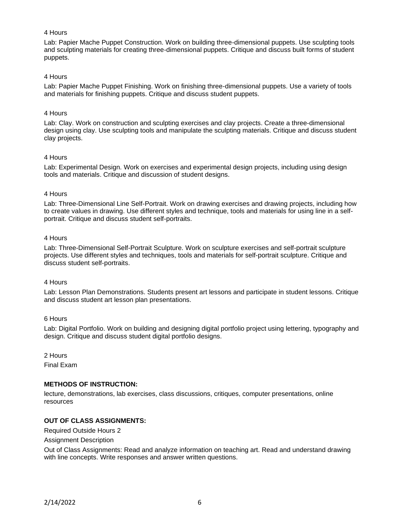Lab: Papier Mache Puppet Construction. Work on building three-dimensional puppets. Use sculpting tools and sculpting materials for creating three-dimensional puppets. Critique and discuss built forms of student puppets.

#### 4 Hours

Lab: Papier Mache Puppet Finishing. Work on finishing three-dimensional puppets. Use a variety of tools and materials for finishing puppets. Critique and discuss student puppets.

#### 4 Hours

Lab: Clay. Work on construction and sculpting exercises and clay projects. Create a three-dimensional design using clay. Use sculpting tools and manipulate the sculpting materials. Critique and discuss student clay projects.

#### 4 Hours

Lab: Experimental Design. Work on exercises and experimental design projects, including using design tools and materials. Critique and discussion of student designs.

## 4 Hours

Lab: Three-Dimensional Line Self-Portrait. Work on drawing exercises and drawing projects, including how to create values in drawing. Use different styles and technique, tools and materials for using line in a selfportrait. Critique and discuss student self-portraits.

## 4 Hours

Lab: Three-Dimensional Self-Portrait Sculpture. Work on sculpture exercises and self-portrait sculpture projects. Use different styles and techniques, tools and materials for self-portrait sculpture. Critique and discuss student self-portraits.

#### 4 Hours

Lab: Lesson Plan Demonstrations. Students present art lessons and participate in student lessons. Critique and discuss student art lesson plan presentations.

#### 6 Hours

Lab: Digital Portfolio. Work on building and designing digital portfolio project using lettering, typography and design. Critique and discuss student digital portfolio designs.

2 Hours

Final Exam

# **METHODS OF INSTRUCTION:**

lecture, demonstrations, lab exercises, class discussions, critiques, computer presentations, online resources

# **OUT OF CLASS ASSIGNMENTS:**

Required Outside Hours 2

#### Assignment Description

Out of Class Assignments: Read and analyze information on teaching art. Read and understand drawing with line concepts. Write responses and answer written questions.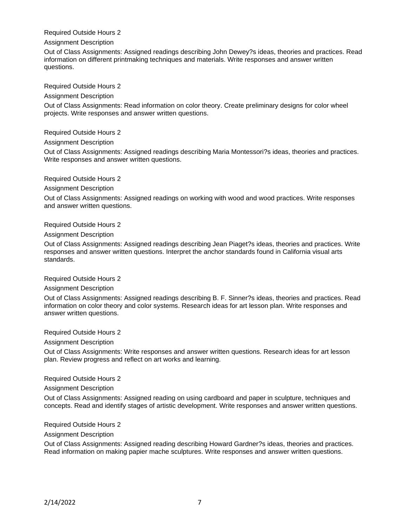Required Outside Hours 2

#### Assignment Description

Out of Class Assignments: Assigned readings describing John Dewey?s ideas, theories and practices. Read information on different printmaking techniques and materials. Write responses and answer written questions.

Required Outside Hours 2

#### Assignment Description

Out of Class Assignments: Read information on color theory. Create preliminary designs for color wheel projects. Write responses and answer written questions.

Required Outside Hours 2

Assignment Description

Out of Class Assignments: Assigned readings describing Maria Montessori?s ideas, theories and practices. Write responses and answer written questions.

Required Outside Hours 2

Assignment Description

Out of Class Assignments: Assigned readings on working with wood and wood practices. Write responses and answer written questions.

Required Outside Hours 2

Assignment Description

Out of Class Assignments: Assigned readings describing Jean Piaget?s ideas, theories and practices. Write responses and answer written questions. Interpret the anchor standards found in California visual arts standards.

Required Outside Hours 2

#### Assignment Description

Out of Class Assignments: Assigned readings describing B. F. Sinner?s ideas, theories and practices. Read information on color theory and color systems. Research ideas for art lesson plan. Write responses and answer written questions.

Required Outside Hours 2

Assignment Description

Out of Class Assignments: Write responses and answer written questions. Research ideas for art lesson plan. Review progress and reflect on art works and learning.

Required Outside Hours 2

Assignment Description

Out of Class Assignments: Assigned reading on using cardboard and paper in sculpture, techniques and concepts. Read and identify stages of artistic development. Write responses and answer written questions.

Required Outside Hours 2

Assignment Description

Out of Class Assignments: Assigned reading describing Howard Gardner?s ideas, theories and practices. Read information on making papier mache sculptures. Write responses and answer written questions.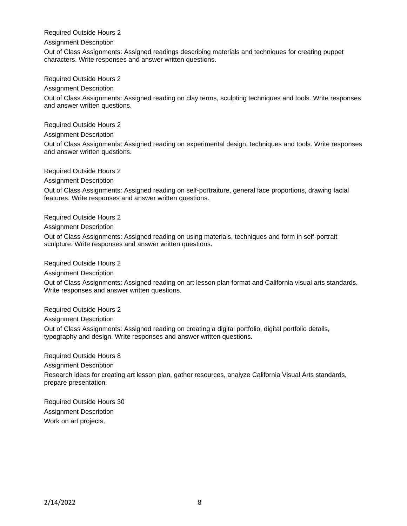## Required Outside Hours 2

#### Assignment Description

Out of Class Assignments: Assigned readings describing materials and techniques for creating puppet characters. Write responses and answer written questions.

Required Outside Hours 2

Assignment Description

Out of Class Assignments: Assigned reading on clay terms, sculpting techniques and tools. Write responses and answer written questions.

Required Outside Hours 2

Assignment Description

Out of Class Assignments: Assigned reading on experimental design, techniques and tools. Write responses and answer written questions.

Required Outside Hours 2

Assignment Description

Out of Class Assignments: Assigned reading on self-portraiture, general face proportions, drawing facial features. Write responses and answer written questions.

Required Outside Hours 2

Assignment Description

Out of Class Assignments: Assigned reading on using materials, techniques and form in self-portrait sculpture. Write responses and answer written questions.

Required Outside Hours 2

Assignment Description

Out of Class Assignments: Assigned reading on art lesson plan format and California visual arts standards. Write responses and answer written questions.

Required Outside Hours 2

Assignment Description

Out of Class Assignments: Assigned reading on creating a digital portfolio, digital portfolio details, typography and design. Write responses and answer written questions.

Required Outside Hours 8

Assignment Description

Research ideas for creating art lesson plan, gather resources, analyze California Visual Arts standards, prepare presentation.

Required Outside Hours 30 Assignment Description Work on art projects.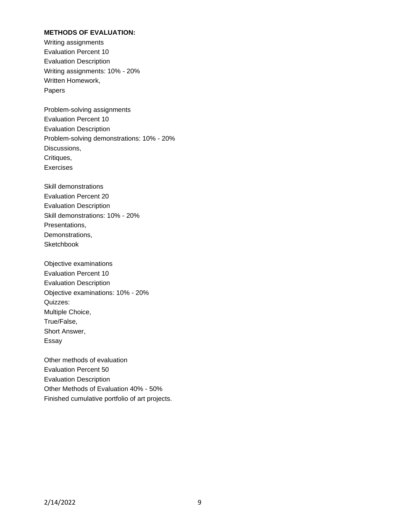# **METHODS OF EVALUATION:**

Writing assignments Evaluation Percent 10 Evaluation Description Writing assignments: 10% - 20% Written Homework, Papers

Problem-solving assignments Evaluation Percent 10 Evaluation Description Problem-solving demonstrations: 10% - 20% Discussions, Critiques, Exercises

Skill demonstrations Evaluation Percent 20 Evaluation Description Skill demonstrations: 10% - 20% Presentations, Demonstrations, **Sketchbook** 

Objective examinations Evaluation Percent 10 Evaluation Description Objective examinations: 10% - 20% Quizzes: Multiple Choice, True/False, Short Answer, Essay

Other methods of evaluation Evaluation Percent 50 Evaluation Description Other Methods of Evaluation 40% - 50% Finished cumulative portfolio of art projects.